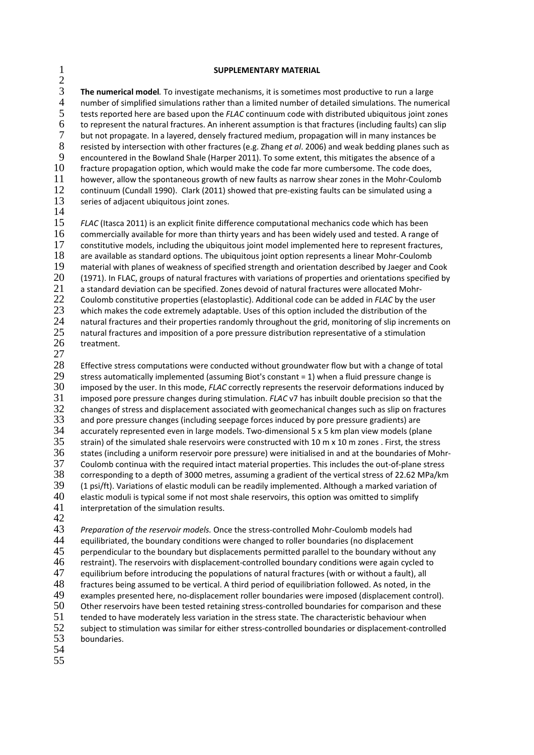## 1 **SUPPLEMENTARY MATERIAL**

 $rac{2}{3}$ 3 **The numerical model***.* To investigate mechanisms, it is sometimes most productive to run a large 4 number of simplified simulations rather than a limited number of detailed simulations. The numerical<br>5 tests reported here are based upon the FLAC continuum code with distributed ubiquitous joint zones 5 tests reported here are based upon the *FLAC* continuum code with distributed ubiquitous joint zones 6 to represent the natural fractures. An inherent assumption is that fractures (including faults) can slip 7 but not propagate. In a layered, densely fractured medium, propagation will in many instances be 8 resisted by intersection with other fractures (e.g. Zhang *et al*. 2006) and weak bedding planes such as 9 encountered in the Bowland Shale (Harper 2011). To some extent, this mitigates the absence of a<br>10 fracture propagation option, which would make the code far more cumbersome. The code does, fracture propagation option, which would make the code far more cumbersome. The code does, 11 however, allow the spontaneous growth of new faults as narrow shear zones in the Mohr-Coulomb 12 continuum (Cundall 1990). Clark (2011) showed that pre-existing faults can be simulated using a<br>13 series of adiacent ubiquitous joint zones. series of adjacent ubiquitous joint zones.

14

15 *FLAC* (Itasca 2011) is an explicit finite difference computational mechanics code which has been 16 commercially available for more than thirty years and has been widely used and tested. A range of 17 constitutive models, including the ubiquitous joint model implemented here to represent fractures 17 constitutive models, including the ubiquitous joint model implemented here to represent fractures,<br>18 are available as standard options. The ubiquitous joint option represents a linear Mohr-Coulomb are available as standard options. The ubiquitous joint option represents a linear Mohr-Coulomb 19 material with planes of weakness of specified strength and orientation described by Jaeger and Cook<br>20 (1971). In FLAC, groups of natural fractures with variations of properties and orientations specified by 20 (1971). In FLAC, groups of natural fractures with variations of properties and orientations specified by 21 a standard deviation can be specified. Zones devoid of natural fractures were allocated Mohr-21 a standard deviation can be specified. Zones devoid of natural fractures were allocated Mohr-<br>22 Coulomb constitutive properties (elastoplastic). Additional code can be added in FLAC by the u 22 Coulomb constitutive properties (elastoplastic). Additional code can be added in *FLAC* by the user<br>23 Which makes the code extremely adaptable. Uses of this option included the distribution of the 23 which makes the code extremely adaptable. Uses of this option included the distribution of the<br>24 matural fractures and their properties randomly throughout the grid, monitoring of slip increme 24 natural fractures and their properties randomly throughout the grid, monitoring of slip increments on  $25$  natural fractures and imposition of a pore pressure distribution representative of a stimulation 25 natural fractures and imposition of a pore pressure distribution representative of a stimulation 26 treatment.

 $\frac{27}{28}$ Effective stress computations were conducted without groundwater flow but with a change of total 29 stress automatically implemented (assuming Biot's constant = 1) when a fluid pressure change is<br>  $30$  imposed by the user. In this mode, FLAC correctly represents the reservoir deformations induced 30 imposed by the user. In this mode, *FLAC* correctly represents the reservoir deformations induced by<br>31 imposed pore pressure changes during stimulation. *FLAC* v7 has inbuilt double precision so that the 31 imposed pore pressure changes during stimulation. *FLAC* v7 has inbuilt double precision so that the  $32$  changes of stress and displacement associated with geomechanical changes such as slip on fractures  $33$  and pore pressure changes (including seepage forces induced by pore pressure gradients) are and pore pressure changes (including seepage forces induced by pore pressure gradients) are 34 accurately represented even in large models. Two-dimensional 5 x 5 km plan view models (plane<br>35 strain) of the simulated shale reservoirs were constructed with 10 m x 10 m zones . First, the stre strain) of the simulated shale reservoirs were constructed with 10 m x 10 m zones . First, the stress 36 states (including a uniform reservoir pore pressure) were initialised in and at the boundaries of Mohr-37 Coulomb continua with the required intact material properties. This includes the out‐of‐plane stress 38 corresponding to a depth of 3000 metres, assuming a gradient of the vertical stress of 22.62 MPa/km<br>39 (1 psi/ft). Variations of elastic moduli can be readily implemented. Although a marked variation of 39 (1 psi/ft). Variations of elastic moduli can be readily implemented. Although a marked variation of 40 elastic moduli is tvoical some if not most shale reservoirs, this option was omitted to simplify 40 elastic moduli is typical some if not most shale reservoirs, this option was omitted to simplify  $41$  interpretation of the simulation results. interpretation of the simulation results.

42

43 *Preparation of the reservoir models.* Once the stress‐controlled Mohr‐Coulomb models had 44 equilibriated, the boundary conditions were changed to roller boundaries (no displacement 45 perpendicular to the boundary but displacements permitted parallel to the boundary without any 46 restraint). The reservoirs with displacement‐controlled boundary conditions were again cycled to 47 equilibrium before introducing the populations of natural fractures (with or without a fault), all 48 fractures being assumed to be vertical. A third period of equilibriation followed. As noted, in the 49 examples presented here, no-displacement roller boundaries were imposed (displacement contri 49 examples presented here, no-displacement roller boundaries were imposed (displacement control).<br>50 Other reservoirs have been tested retaining stress-controlled boundaries for comparison and these 50 Other reservoirs have been tested retaining stress‐controlled boundaries for comparison and these 51 tended to have moderately less variation in the stress state. The characteristic behaviour when<br>52 subject to stimulation was similar for either stress-controlled boundaries or displacement-contr 52 subject to stimulation was similar for either stress-controlled boundaries or displacement-controlled 53 boundaries. boundaries.

- 54
- 55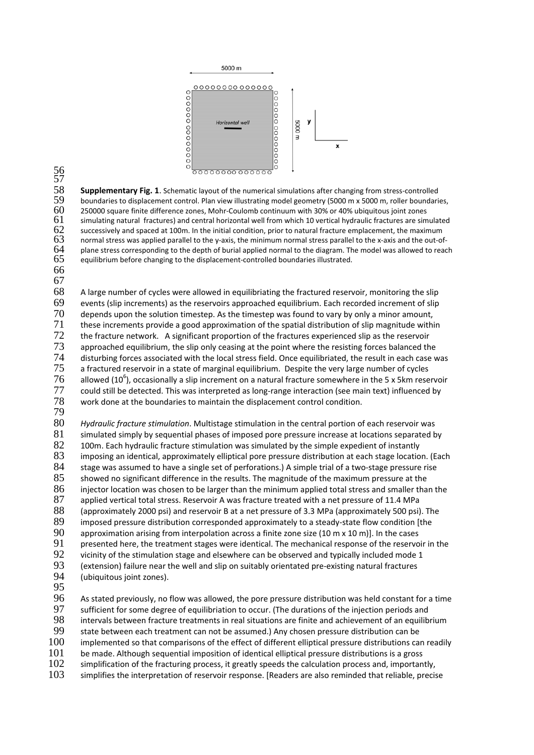

56 57

58 **Supplementary Fig. 1**. Schematic layout of the numerical simulations after changing from stress-controlled<br>59 boundaries to displacement control. Plan view illustrating model geometry (5000 m x 5000 m, roller boundari 59 boundaries to displacement control. Plan view illustrating model geometry (5000 m x 5000 m, roller boundaries, 60 250000 square finite difference zones, Mohr-Coulomb continuum with 30% or 40% ubiquitous joint zones 60 250000 square finite difference zones, Mohr-Coulomb continuum with 30% or 40% ubiquitous joint zones<br>61 simulating natural fractures) and central horizontal well from which 10 vertical hydraulic fractures are sim 61 simulating natural fractures) and central horizontal well from which 10 vertical hydraulic fractures are simulated 62 successively and spaced at 100m. In the initial condition, prior to natural fracture emplacement, th 62 successively and spaced at 100m. In the initial condition, prior to natural fracture emplacement, the maximum<br>63 normal stress was applied parallel to the y-axis, the minimum normal stress parallel to the x-axis and th 63 normal stress was applied parallel to the y-axis, the minimum normal stress parallel to the x-axis and the out-of-<br>64 plane stress corresponding to the depth of burial applied normal to the diagram. The model was allow 64 plane stress corresponding to the depth of burial applied normal to the diagram. The model was allowed to reach 65 equilibrium before changing to the displacement-controlled boundaries illustrated. equilibrium before changing to the displacement-controlled boundaries illustrated.

66 67

68 A large number of cycles were allowed in equilibriating the fractured reservoir, monitoring the slip<br>69 events (slip increments) as the reservoirs approached equilibrium. Each recorded increment of slip 69 events (slip increments) as the reservoirs approached equilibrium. Each recorded increment of slip  $70$  depends upon the solution timestep. As the timestep was found to vary by only a minor amount,  $70$  depends upon the solution timestep. As the timestep was found to vary by only a minor amount,  $71$  these increments provide a good approximation of the spatial distribution of slip magnitude with  $71$  these increments provide a good approximation of the spatial distribution of slip magnitude within  $72$  the fracture network. A significant proportion of the fractures experienced slip as the reservoir T2 the fracture network. A significant proportion of the fractures experienced slip as the reservoir<br>
73 approached equilibrium, the slip only ceasing at the point where the resisting forces balanced th approached equilibrium, the slip only ceasing at the point where the resisting forces balanced the 74 disturbing forces associated with the local stress field. Once equilibriated, the result in each case was<br>75 a fractured reservoir in a state of marginal equilibrium. Despite the very large number of cycles  $75$  a fractured reservoir in a state of marginal equilibrium. Despite the very large number of cycles<br> $76$  allowed (10<sup>6</sup>), occasionally a slip increment on a natural fracture somewhere in the 5 x 5km rese allowed (10<sup>6</sup>), occasionally a slip increment on a natural fracture somewhere in the 5 x 5km reservoir 77 could still be detected. This was interpreted as long-range interaction (see main text) influenced by<br>78 work done at the boundaries to maintain the displacement control condition. work done at the boundaries to maintain the displacement control condition.

79

80 *Hydraulic fracture stimulation*. Multistage stimulation in the central portion of each reservoir was 81 simulated simply by sequential phases of imposed pore pressure increase at locations separated by 82 100m. Each hydraulic fracture stimulation was simulated by the simple expedient of instantly<br>83 imposing an identical, approximately elliptical pore pressure distribution at each stage locatio 83 imposing an identical, approximately elliptical pore pressure distribution at each stage location. (Each <br>84 stage was assumed to have a single set of perforations.) A simple trial of a two-stage pressure rise 84 stage was assumed to have a single set of perforations.) A simple trial of a two-stage pressure rise<br>85 showed no significant difference in the results. The magnitude of the maximum pressure at the 85 showed no significant difference in the results. The magnitude of the maximum pressure at the<br>86 injector location was chosen to be larger than the minimum applied total stress and smaller tha 86 injector location was chosen to be larger than the minimum applied total stress and smaller than the 87 applied vertical total stress. Reservoir A was fracture treated with a net pressure of 11.4 MPa applied vertical total stress. Reservoir A was fracture treated with a net pressure of 11.4 MPa 88 (approximately 2000 psi) and reservoir B at a net pressure of 3.3 MPa (approximately 500 psi). The 89 imposed pressure distribution corresponded approximately to a steady-state flow condition [the 89 imposed pressure distribution corresponded approximately to a steady-state flow condition [the  $90$  approximation arising from interpolation across a finite zone size (10 m x 10 m)]. In the cases approximation arising from interpolation across a finite zone size (10 m  $\times$  10 m)]. In the cases 91 presented here, the treatment stages were identical. The mechanical response of the reservoir in the 92 vicinity of the stimulation stage and elsewhere can be observed and typically included mode 1 92 vicinity of the stimulation stage and elsewhere can be observed and typically included mode 1<br>93 (extension) failure near the well and slip on suitably orientated pre-existing natural fractures 93 (extension) failure near the well and slip on suitably orientated pre-existing natural fractures (14)  $\mu$ (ubiquitous joint zones).

95<br>96

96 As stated previously, no flow was allowed, the pore pressure distribution was held constant for a time<br>97 Sufficient for some degree of equilibriation to occur. (The durations of the injection periods and sufficient for some degree of equilibriation to occur. (The durations of the injection periods and 98 intervals between fracture treatments in real situations are finite and achievement of an equilibrium<br>99 state between each treatment can not be assumed.) Any chosen pressure distribution can be 99 state between each treatment can not be assumed.) Any chosen pressure distribution can be<br>100 implemented so that comparisons of the effect of different elliptical pressure distributions ca 100 implemented so that comparisons of the effect of different elliptical pressure distributions can readily<br>101 be made. Although sequential imposition of identical elliptical pressure distributions is a gross be made. Although sequential imposition of identical elliptical pressure distributions is a gross 102 simplification of the fracturing process, it greatly speeds the calculation process and, importantly,<br>103 simplifies the interpretation of reservoir response. [Readers are also reminded that reliable, precis simplifies the interpretation of reservoir response. [Readers are also reminded that reliable, precise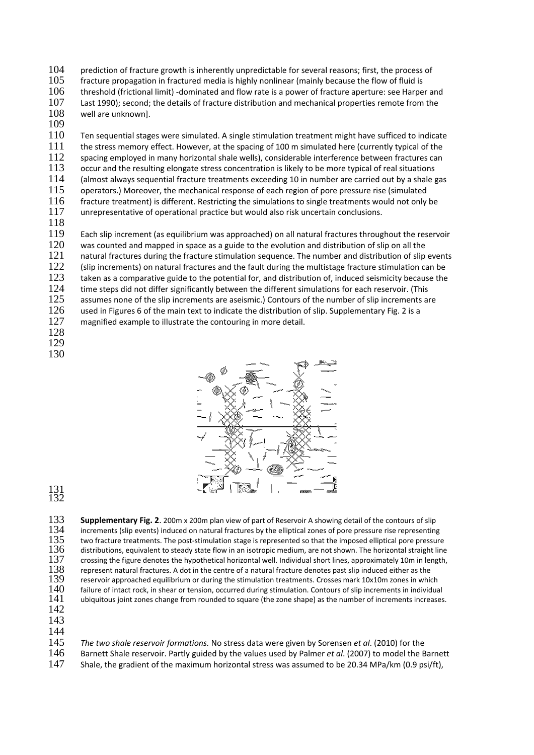104 prediction of fracture growth is inherently unpredictable for several reasons; first, the process of 105 fracture propagation in fractured media is highly nonlinear (mainly because the flow of fluid is 106 threshold (frictional limit) -dominated and flow rate is a power of fracture aperture: see Harpe 106 threshold (frictional limit) -dominated and flow rate is a power of fracture aperture: see Harper and 107 Last 1990); second; the details of fracture distribution and mechanical properties remote from the Last 1990); second; the details of fracture distribution and mechanical properties remote from the 108 well are unknown].

109<br>110

110 Ten sequential stages were simulated. A single stimulation treatment might have sufficed to indicate 111 the stress memory effect. However, at the spacing of 100 m simulated here (currently typical of the 112 spacing employed in many horizontal shale wells), considerable interference between fractures can 113 occur and the resulting elongate stress concentration is likely to be more typical of real situations 114 (almost always sequential fracture treatments exceeding 10 in number are carried out by a shale gas 115 operators.) Moreover, the mechanical response of each region of pore pressure rise (simulated 116 fracture treatment) is different. Restricting the simulations to single treatments would not only 116 fracture treatment) is different. Restricting the simulations to single treatments would not only be<br>117 unrepresentative of operational practice but would also risk uncertain conclusions. unrepresentative of operational practice but would also risk uncertain conclusions.

118

119 Each slip increment (as equilibrium was approached) on all natural fractures throughout the reservoir<br>120 was counted and mapped in space as a guide to the evolution and distribution of slip on all the was counted and mapped in space as a guide to the evolution and distribution of slip on all the<br>121 natural fractures during the fracture stimulation sequence. The number and distribution of slip natural fractures during the fracture stimulation sequence. The number and distribution of slip events 122 (slip increments) on natural fractures and the fault during the multistage fracture stimulation can be<br>123 taken as a comparative guide to the potential for, and distribution of, induced seismicity because the 123 taken as a comparative guide to the potential for, and distribution of, induced seismicity because the 124 time steps did not differ significantly between the different simulations for each reservoir. (This time steps did not differ significantly between the different simulations for each reservoir. (This 125 assumes none of the slip increments are aseismic.) Contours of the number of slip increments are 126 used in Figures 6 of the main text to indicate the distribution of slip. Supplementary Fig. 2 is a<br>127 magnified example to illustrate the contouring in more detail. magnified example to illustrate the contouring in more detail. 128

- 
- 129 130



131 132

**Supplementary Fig. 2**. 200m x 200m plan view of part of Reservoir A showing detail of the contours of slip<br>134 increments (slip events) induced on natural fractures by the elliptical zones of pore pressure rise representi 134 increments (slip events) induced on natural fractures by the elliptical zones of pore pressure rise representing<br>135 two fracture treatments. The post-stimulation stage is represented so that the imposed elliptical por 135 two fracture treatments. The post-stimulation stage is represented so that the imposed elliptical pore pressure<br>136 distributions, equivalent to steady state flow in an isotropic medium, are not shown. The horizontal s  $136$  distributions, equivalent to steady state flow in an isotropic medium, are not shown. The horizontal straight line<br> $137$  crossing the figure denotes the hypothetical horizontal well. Individual short lines, approxim 137 crossing the figure denotes the hypothetical horizontal well. Individual short lines, approximately 10m in length,<br>138 represent natural fractures. A dot in the centre of a natural fracture denotes past slip induced e 138 represent natural fractures. A dot in the centre of a natural fracture denotes past slip induced either as the<br>139 reservoir approached equilibrium or during the stimulation treatments. Crosses mark 10x10m zones in whi  $139$  reservoir approached equilibrium or during the stimulation treatments. Crosses mark 10x10m zones in which  $140$  failure of intact rock, in shear or tension, occurred during stimulation. Contours of slip increments i 140 failure of intact rock, in shear or tension, occurred during stimulation. Contours of slip increments in individual 141 ubiquitous joint zones change from rounded to square (the zone shape) as the number of increments ubiquitous joint zones change from rounded to square (the zone shape) as the number of increments increases.

- 142 143
- 144

145 *The two shale reservoir formations.* No stress data were given by Sorensen *et al*. (2010) for the

146 Barnett Shale reservoir. Partly guided by the values used by Palmer *et al*. (2007) to model the Barnett 147 Shale, the gradient of the maximum horizontal stress was assumed to be 20.34 MPa/km (0.9 psi/ft),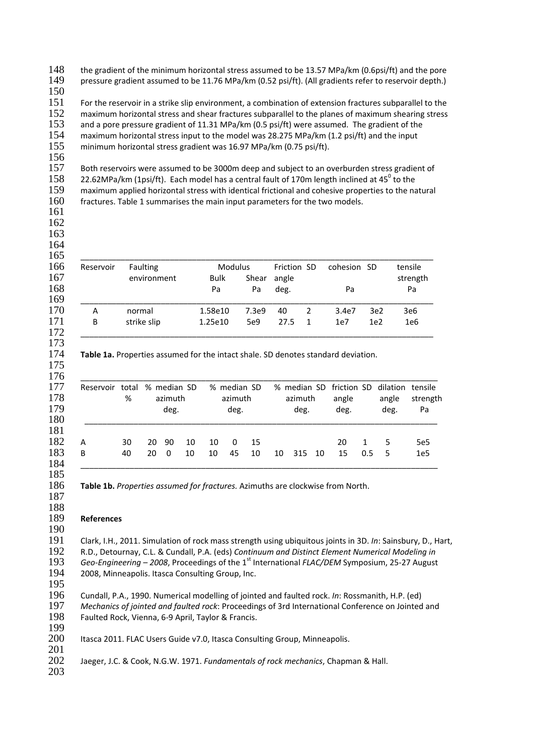the gradient of the minimum horizontal stress assumed to be 13.57 MPa/km (0.6psi/ft) and the pore pressure gradient assumed to be 11.76 MPa/km (0.52 psi/ft). (All gradients refer to reservoir depth.)  $\frac{150}{151}$ 

For the reservoir in a strike slip environment, a combination of extension fractures subparallel to the 152 maximum horizontal stress and shear fractures subparallel to the planes of maximum shearing stress<br>153 and a pore pressure gradient of 11.31 MPa/km (0.5 psi/ft) were assumed. The gradient of the and a pore pressure gradient of 11.31 MPa/km (0.5 psi/ft) were assumed. The gradient of the 154 maximum horizontal stress input to the model was 28.275 MPa/km (1.2 psi/ft) and the input maximum horizontal stress input to the model was 28.275 MPa/km (1.2 psi/ft) and the input minimum horizontal stress gradient was 16.97 MPa/km (0.75 psi/ft).

 Both reservoirs were assumed to be 3000m deep and subject to an overburden stress gradient of 158 22.62MPa/km (1psi/ft). Each model has a central fault of 170m length inclined at 45 $^{\circ}$  to the 159 maximum applied horizontal stress with identical frictional and cohesive properties to the natural<br>160 fractures. Table 1 summarises the main input parameters for the two models. fractures. Table 1 summarises the main input parameters for the two models. 

 

 $\frac{164}{165}$ 

| Reservoir | <b>Faulting</b> | <b>Modulus</b> | Friction SD |       | cohesion SD    | tensile         |                 |          |
|-----------|-----------------|----------------|-------------|-------|----------------|-----------------|-----------------|----------|
|           | environment     | <b>Bulk</b>    | Shear       | angle |                |                 |                 | strength |
|           |                 | Pa             | Pa          | deg.  |                | Pa              |                 | Pa       |
| А         | normal          | 1.58e10        | 7.3e9       | 40    | 2              | 3.4e7           | 3e <sub>2</sub> | 3e6      |
| B         | strike slip     | 1.25e10        | 5e9         | 27.5  | $\overline{1}$ | 1e <sub>7</sub> | 1e <sub>2</sub> | 1e6      |

**Table 1a.** Properties assumed for the intact shale. SD denotes standard deviation.

|   | %  | Reservoir total % median SD<br>azimuth<br>deg. |          | % median SD<br>azimuth<br>deg. |    | % median SD friction SD dilation tensile<br>azimuth<br>deg. |    | angle<br>deg. |     | angle<br>deg. | strength<br>Pa |     |    |                 |
|---|----|------------------------------------------------|----------|--------------------------------|----|-------------------------------------------------------------|----|---------------|-----|---------------|----------------|-----|----|-----------------|
| А | 30 | 20                                             | -90      | 10                             | 10 | 0                                                           | 15 |               |     |               | 20             | 1   | 5  | 5e <sub>5</sub> |
| B | 40 | 20                                             | $\Omega$ | 10                             | 10 | 45                                                          | 10 | 10            | 315 | 10            | 15             | 0.5 | -5 | 1e <sub>5</sub> |

**Table 1b.** *Properties assumed for fractures.* Azimuths are clockwise from North.

## **References**

Clark, I.H., 2011. Simulation of rock mass strength using ubiquitous joints in 3D. *In*: Sainsbury, D., Hart, R.D., Detournay, C.L. & Cundall, P.A. (eds) *Continuum and Distinct Element Numerical Modeling in Geo-Engineering* – 2008, Proceedings of the 1<sup>st</sup> International *FLAC/DEM* Symposium, 25-27 August 194 2008, Minneapolis. Itasca Consulting Group, Inc. 2008, Minneapolis. Itasca Consulting Group, Inc. 

Cundall, P.A., 1990. Numerical modelling of jointed and faulted rock. *In*: Rossmanith, H.P. (ed) *Mechanics of jointed and faulted rock*: Proceedings of 3rd International Conference on Jointed and Faulted Rock, Vienna, 6‐9 April, Taylor & Francis.

 Itasca 2011. FLAC Users Guide v7.0, Itasca Consulting Group, Minneapolis.

 Jaeger, J.C. & Cook, N.G.W. 1971. *Fundamentals of rock mechanics*, Chapman & Hall.